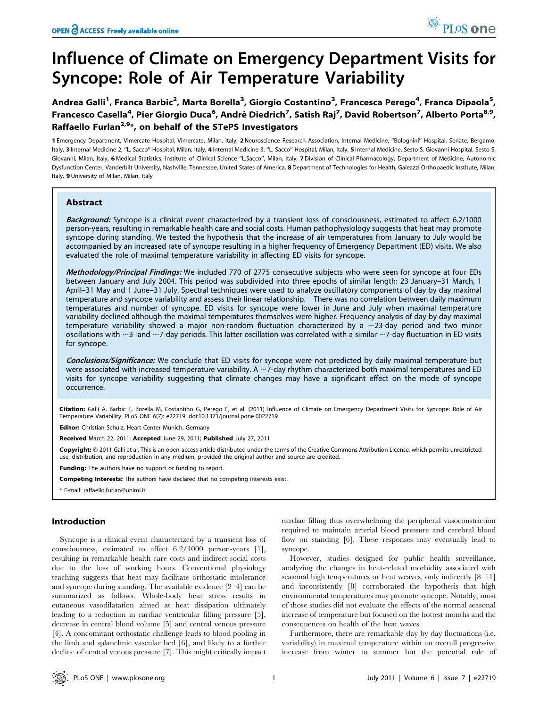# Influence of Climate on Emergency Department Visits for Syncope: Role of Air Temperature Variability

Andrea Galli<sup>1</sup>, Franca Barbic<sup>2</sup>, Marta Borella<sup>3</sup>, Giorgio Costantino<sup>3</sup>, Francesca Perego<sup>4</sup>, Franca Dipaola<sup>5</sup>, Francesco Casella<sup>4</sup>, Pier Giorgio Duca<sup>6</sup>, Andrè Diedrich<sup>7</sup>, Satish Raj<sup>7</sup>, David Robertson<sup>7</sup>, Alberto Porta<sup>8,9</sup>, Raffaello Furlan<sup>2,9\*</sup>, on behalf of the STePS Investigators

1 Emergency Department, Vimercate Hospital, Vimercate, Milan, Italy, 2Neuroscience Research Association, Internal Medicine, ''Bolognini'' Hospital, Seriate, Bergamo, Italy, 3 Internal Medicine 2, "L. Sacco" Hospital, Milan, Italy, 4 Internal Medicine 3, "L. Sacco" Hospital, Milan, Italy, 5 Internal Medicine, Sesto S. Giovanni Hospital, Sesto S. Giovanni, Milan, Italy, 6 Medical Statistics, Institute of Clinical Science "L.Sacco", Milan, Italy, 7 Division of Clinical Pharmacology, Department of Medicine, Autonomic Dysfunction Center, Vanderbilt University, Nashville, Tennessee, United States of America, 8 Department of Technologies for Health, Galeazzi Orthopaedic Institute, Milan, Italy, 9 University of Milan, Milan, Italy

# Abstract

Background: Syncope is a clinical event characterized by a transient loss of consciousness, estimated to affect 6.2/1000 person-years, resulting in remarkable health care and social costs. Human pathophysiology suggests that heat may promote syncope during standing. We tested the hypothesis that the increase of air temperatures from January to July would be accompanied by an increased rate of syncope resulting in a higher frequency of Emergency Department (ED) visits. We also evaluated the role of maximal temperature variability in affecting ED visits for syncope.

Methodology/Principal Findings: We included 770 of 2775 consecutive subjects who were seen for syncope at four EDs between January and July 2004. This period was subdivided into three epochs of similar length: 23 January–31 March, 1 April–31 May and 1 June–31 July. Spectral techniques were used to analyze oscillatory components of day by day maximal temperature and syncope variability and assess their linear relationship. There was no correlation between daily maximum temperatures and number of syncope. ED visits for syncope were lower in June and July when maximal temperature variability declined although the maximal temperatures themselves were higher. Frequency analysis of day by day maximal temperature variability showed a major non-random fluctuation characterized by a  $\sim$ 23-day period and two minor oscillations with  $\sim$ 3- and  $\sim$ 7-day periods. This latter oscillation was correlated with a similar  $\sim$ 7-day fluctuation in ED visits for syncope.

Conclusions/Significance: We conclude that ED visits for syncope were not predicted by daily maximal temperature but were associated with increased temperature variability. A  $\sim$ 7-day rhythm characterized both maximal temperatures and ED visits for syncope variability suggesting that climate changes may have a significant effect on the mode of syncope occurrence.

Citation: Galli A, Barbic F, Borella M, Costantino G, Perego F, et al. (2011) Influence of Climate on Emergency Department Visits for Syncope: Role of Air Temperature Variability. PLoS ONE 6(7): e22719. doi:10.1371/journal.pone.0022719

Editor: Christian Schulz, Heart Center Munich, Germany

Received March 22, 2011; Accepted June 29, 2011; Published July 27, 2011

Copyright: © 2011 Galli et al. This is an open-access article distributed under the terms of the Creative Commons Attribution License, which permits unrestricted use, distribution, and reproduction in any medium, provided the original author and source are credited.

**Funding:** The authors have no support or funding to report.

Competing Interests: The authors have declared that no competing interests exist.

E-mail: raffaello.furlan@unimi.it

# Introduction

Syncope is a clinical event characterized by a transient loss of consciousness, estimated to affect 6.2/1000 person-years [1], resulting in remarkable health care costs and indirect social costs due to the loss of working hours. Conventional physiology teaching suggests that heat may facilitate orthostatic intolerance and syncope during standing. The available evidence [2–4] can be summarized as follows. Whole-body heat stress results in cutaneous vasodilatation aimed at heat dissipation ultimately leading to a reduction in cardiac ventricular filling pressure [5], decrease in central blood volume [5] and central venous pressure [4]. A concomitant orthostatic challenge leads to blood pooling in the limb and splanchnic vascular bed [6], and likely to a further decline of central venous pressure [7]. This might critically impact

cardiac filling thus overwhelming the peripheral vasoconstriction required to maintain arterial blood pressure and cerebral blood flow on standing [6]. These responses may eventually lead to syncope.

However, studies designed for public health surveillance, analyzing the changes in heat-related morbidity associated with seasonal high temperatures or heat weaves, only indirectly [8–11] and inconsistently [8] corroborated the hypothesis that high environmental temperatures may promote syncope. Notably, most of those studies did not evaluate the effects of the normal seasonal increase of temperature but focused on the hottest months and the consequences on health of the heat waves.

Furthermore, there are remarkable day by day fluctuations (i.e. variability) in maximal temperature within an overall progressive increase from winter to summer but the potential role of

PLoS one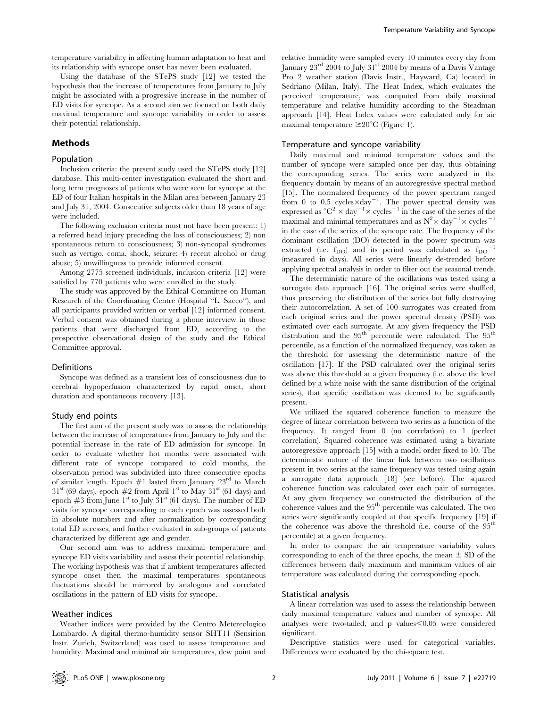temperature variability in affecting human adaptation to heat and its relationship with syncope onset has never been evaluated.

Using the database of the STePS study [12] we tested the hypothesis that the increase of temperatures from January to July might be associated with a progressive increase in the number of ED visits for syncope. As a second aim we focused on both daily maximal temperature and syncope variability in order to assess their potential relationship.

## Methods

#### Population

Inclusion criteria: the present study used the STePS study [12] database. This multi-center investigation evaluated the short and long term prognoses of patients who were seen for syncope at the ED of four Italian hospitals in the Milan area between January 23 and July 31, 2004. Consecutive subjects older than 18 years of age were included.

The following exclusion criteria must not have been present: 1) a referred head injury preceding the loss of consciousness; 2) non spontaneous return to consciousness; 3) non-syncopal syndromes such as vertigo, coma, shock, seizure; 4) recent alcohol or drug abuse; 5) unwillingness to provide informed consent.

Among 2775 screened individuals, inclusion criteria [12] were satisfied by 770 patients who were enrolled in the study.

The study was approved by the Ethical Committee on Human Research of the Coordinating Centre (Hospital ''L. Sacco''), and all participants provided written or verbal [12] informed consent. Verbal consent was obtained during a phone interview in those patients that were discharged from ED, according to the prospective observational design of the study and the Ethical Committee approval.

#### Definitions

Syncope was defined as a transient loss of consciousness due to cerebral hypoperfusion characterized by rapid onset, short duration and spontaneous recovery [13].

#### Study end points

The first aim of the present study was to assess the relationship between the increase of temperatures from January to July and the potential increase in the rate of ED admission for syncope. In order to evaluate whether hot months were associated with different rate of syncope compared to cold months, the observation period was subdivided into three consecutive epochs of similar length. Epoch  $#1$  lasted from January  $23<sup>rd</sup>$  to March  $31<sup>st</sup>$  (69 days), epoch #2 from April  $1<sup>st</sup>$  to May  $31<sup>st</sup>$  (61 days) and epoch  $#3$  from June  $1^{st}$  to July  $31^{st}$  (61 days). The number of ED visits for syncope corresponding to each epoch was assessed both in absolute numbers and after normalization by corresponding total ED accesses, and further evaluated in sub-groups of patients characterized by different age and gender.

Our second aim was to address maximal temperature and syncope ED visits variability and assess their potential relationship. The working hypothesis was that if ambient temperatures affected syncope onset then the maximal temperatures spontaneous fluctuations should be mirrored by analogous and correlated oscillations in the pattern of ED visits for syncope.

## Weather indices

Weather indices were provided by the Centro Metereologico Lombardo. A digital thermo-humidity sensor SHT11 (Sensirion Instr. Zurich, Switzerland) was used to assess temperature and humidity. Maximal and minimal air temperatures, dew point and relative humidity were sampled every 10 minutes every day from January 23<sup>rd</sup> 2004 to July 31<sup>st</sup> 2004 by means of a Davis Vantage Pro 2 weather station (Davis Instr., Hayward, Ca) located in Sedriano (Milan, Italy). The Heat Index, which evaluates the perceived temperature, was computed from daily maximal temperature and relative humidity according to the Steadman approach [14]. Heat Index values were calculated only for air maximal temperature  $\geq$ 20<sup>o</sup>C (Figure 1).

#### Temperature and syncope variability

Daily maximal and minimal temperature values and the number of syncope were sampled once per day, thus obtaining the corresponding series. The series were analyzed in the frequency domain by means of an autoregressive spectral method [15]. The normalized frequency of the power spectrum ranged from 0 to 0.5 cycles $\times$ day<sup>-1</sup>. The power spectral density was expressed as  ${}^{\circ}C^2 \times \text{day}^{-1} \times \text{cycles}^{-1}$  in the case of the series of the maximal and minimal temperatures and as  $N^2 \times day^{-1} \times cycles^{-1}$ in the case of the series of the syncope rate. The frequency of the dominant oscillation (DO) detected in the power spectrum was extracted (i.e.  $f_{\text{DO}}$ ) and its period was calculated as  $f_{\text{DO}}$ <sup>-</sup> (measured in days). All series were linearly de-trended before applying spectral analysis in order to filter out the seasonal trends.

The deterministic nature of the oscillations was tested using a surrogate data approach [16]. The original series were shuffled, thus preserving the distribution of the series but fully destroying their autocorrelation. A set of 100 surrogates was created from each original series and the power spectral density (PSD) was estimated over each surrogate. At any given frequency the PSD distribution and the  $95<sup>th</sup>$  percentile were calculated. The  $95<sup>th</sup>$ percentile, as a function of the normalized frequency, was taken as the threshold for assessing the deterministic nature of the oscillation [17]. If the PSD calculated over the original series was above this threshold at a given frequency (i.e. above the level defined by a white noise with the same distribution of the original series), that specific oscillation was deemed to be significantly present.

We utilized the squared coherence function to measure the degree of linear correlation between two series as a function of the frequency. It ranged from 0 (no correlation) to 1 (perfect correlation). Squared coherence was estimated using a bivariate autoregressive approach [15] with a model order fixed to 10. The deterministic nature of the linear link between two oscillations present in two series at the same frequency was tested using again a surrogate data approach [18] (see before). The squared coherence function was calculated over each pair of surrogates. At any given frequency we constructed the distribution of the coherence values and the  $95<sup>th</sup>$  percentile was calculated. The two series were significantly coupled at that specific frequency [19] if the coherence was above the threshold (i.e. course of the 95<sup>th</sup> percentile) at a given frequency.

In order to compare the air temperature variability values corresponding to each of the three epochs, the mean  $\pm$  SD of the differences between daily maximum and minimum values of air temperature was calculated during the corresponding epoch.

## Statistical analysis

A linear correlation was used to assess the relationship between daily maximal temperature values and number of syncope. All analyses were two-tailed, and p values $<$ 0.05 were considered significant.

Descriptive statistics were used for categorical variables. Differences were evaluated by the chi-square test.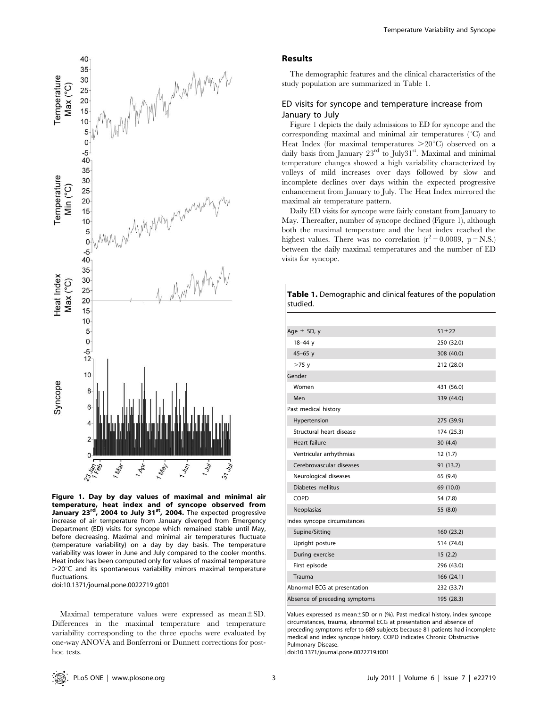

Figure 1. Day by day values of maximal and minimal air temperature, heat index and of syncope observed from<br>January 23<sup>rd</sup>, 2004 to July 31<sup>st</sup>, 2004. The expected progressive increase of air temperature from January diverged from Emergency Department (ED) visits for syncope which remained stable until May, before decreasing. Maximal and minimal air temperatures fluctuate (temperature variability) on a day by day basis. The temperature variability was lower in June and July compared to the cooler months. Heat index has been computed only for values of maximal temperature  $>$ 20 $^{\circ}$ C and its spontaneous variability mirrors maximal temperature fluctuations.

doi:10.1371/journal.pone.0022719.g001

Maximal temperature values were expressed as  $mean \pm SD$ . Differences in the maximal temperature and temperature variability corresponding to the three epochs were evaluated by one-way ANOVA and Bonferroni or Dunnett corrections for posthoc tests.

# Results

The demographic features and the clinical characteristics of the study population are summarized in Table 1.

# ED visits for syncope and temperature increase from January to July

Figure 1 depicts the daily admissions to ED for syncope and the corresponding maximal and minimal air temperatures  $(^{\circ}C)$  and Heat Index (for maximal temperatures  $>20^{\circ}$ C) observed on a daily basis from January  $23^{\text{rd}}$  to July31<sup>st</sup>. Maximal and minimal temperature changes showed a high variability characterized by volleys of mild increases over days followed by slow and incomplete declines over days within the expected progressive enhancement from January to July. The Heat Index mirrored the maximal air temperature pattern.

Daily ED visits for syncope were fairly constant from January to May. Thereafter, number of syncope declined (Figure 1), although both the maximal temperature and the heat index reached the highest values. There was no correlation  $(r^2 = 0.0089, p = N.S.)$ between the daily maximal temperatures and the number of ED visits for syncope.

Table 1. Demographic and clinical features of the population studied.

| Age $\pm$ SD, y               | $51 + 22$  |
|-------------------------------|------------|
| $18 - 44y$                    | 250 (32.0) |
| $45 - 65y$                    | 308 (40.0) |
| $>75$ y                       | 212 (28.0) |
| Gender                        |            |
| Women                         | 431 (56.0) |
| Men                           | 339 (44.0) |
| Past medical history          |            |
| Hypertension                  | 275 (39.9) |
| Structural heart disease      | 174 (25.3) |
| Heart failure                 | 30(4.4)    |
| Ventricular arrhythmias       | 12(1.7)    |
| Cerebrovascular diseases      | 91 (13.2)  |
| Neurological diseases         | 65 (9.4)   |
| Diabetes mellitus             | 69 (10.0)  |
| COPD                          | 54 (7.8)   |
| Neoplasias                    | 55 (8.0)   |
| Index syncope circumstances   |            |
| Supine/Sitting                | 160 (23.2) |
| Upright posture               | 514 (74.6) |
| During exercise               | 15(2.2)    |
| First episode                 | 296 (43.0) |
| Trauma                        | 166 (24.1) |
| Abnormal ECG at presentation  | 232 (33.7) |
| Absence of preceding symptoms | 195 (28.3) |

Values expressed as mean $\pm$ SD or n (%). Past medical history, index syncope circumstances, trauma, abnormal ECG at presentation and absence of preceding symptoms refer to 689 subjects because 81 patients had incomplete medical and index syncope history. COPD indicates Chronic Obstructive Pulmonary Disease.

doi:10.1371/journal.pone.0022719.t001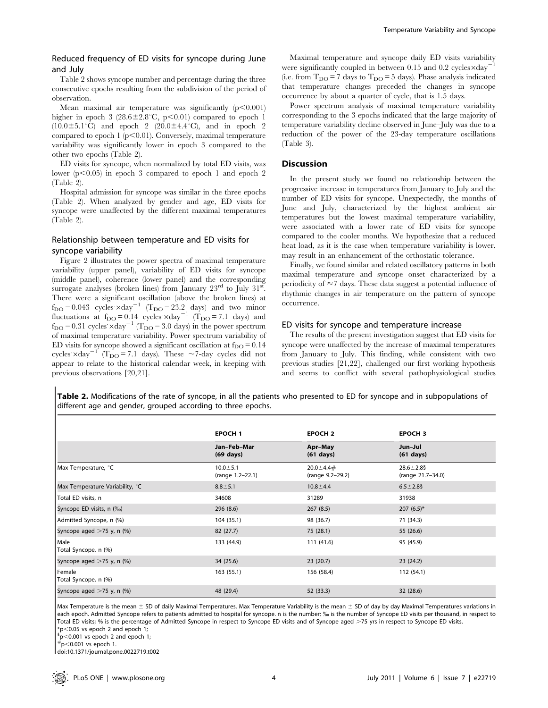# Reduced frequency of ED visits for syncope during June and July

Table 2 shows syncope number and percentage during the three consecutive epochs resulting from the subdivision of the period of observation.

Mean maximal air temperature was significantly  $(p<0.001)$ higher in epoch 3 ( $28.6 \pm 2.8$ °C, p $\leq 0.01$ ) compared to epoch 1  $(10.0\pm5.1^{\circ}C)$  and epoch 2  $(20.0\pm4.4^{\circ}C)$ , and in epoch 2 compared to epoch 1 ( $p<0.01$ ). Conversely, maximal temperature variability was significantly lower in epoch 3 compared to the other two epochs (Table 2).

ED visits for syncope, when normalized by total ED visits, was lower ( $p<0.05$ ) in epoch 3 compared to epoch 1 and epoch 2 (Table 2).

Hospital admission for syncope was similar in the three epochs (Table 2). When analyzed by gender and age, ED visits for syncope were unaffected by the different maximal temperatures (Table 2).

# Relationship between temperature and ED visits for syncope variability

Figure 2 illustrates the power spectra of maximal temperature variability (upper panel), variability of ED visits for syncope (middle panel), coherence (lower panel) and the corresponding surrogate analyses (broken lines) from January 23rd to July 31st. There were a significant oscillation (above the broken lines) at  $f_{\text{DO}} = 0.043 \text{ cycles} \times \text{day}^{-1} \text{ (T}_{\text{DO}} = 23.2 \text{ days)}$  and two minor fluctuations at  $f_{\text{DO}} = 0.14$  cycles  $\times$ day<sup>-1</sup> (T<sub>DO</sub> = 7.1 days) and  $f_{\text{DO}} = 0.31$  cycles  $\times$ day<sup>-1</sup> (T<sub>DO</sub> = 3.0 days) in the power spectrum of maximal temperature variability. Power spectrum variability of ED visits for syncope showed a significant oscillation at  $f_{\text{DO}} = 0.14$ cycles  $\times$ day<sup>-1</sup> (T<sub>DO</sub> = 7.1 days). These  $\sim$  7-day cycles did not appear to relate to the historical calendar week, in keeping with previous observations [20,21].

Maximal temperature and syncope daily ED visits variability were significantly coupled in between 0.15 and 0.2 cycles $\times$ day<sup>-</sup> (i.e. from  $T_{DO} = 7$  days to  $T_{DO} = 5$  days). Phase analysis indicated that temperature changes preceded the changes in syncope occurrence by about a quarter of cycle, that is 1.5 days.

Power spectrum analysis of maximal temperature variability corresponding to the 3 epochs indicated that the large majority of temperature variability decline observed in June–July was due to a reduction of the power of the 23-day temperature oscillations (Table 3).

## Discussion

In the present study we found no relationship between the progressive increase in temperatures from January to July and the number of ED visits for syncope. Unexpectedly, the months of June and July, characterized by the highest ambient air temperatures but the lowest maximal temperature variability, were associated with a lower rate of ED visits for syncope compared to the cooler months. We hypothesize that a reduced heat load, as it is the case when temperature variability is lower, may result in an enhancement of the orthostatic tolerance.

Finally, we found similar and related oscillatory patterns in both maximal temperature and syncope onset characterized by a periodicity of  $\approx$  7 days. These data suggest a potential influence of rhythmic changes in air temperature on the pattern of syncope occurrence.

#### ED visits for syncope and temperature increase

The results of the present investigation suggest that ED visits for syncope were unaffected by the increase of maximal temperatures from January to July. This finding, while consistent with two previous studies [21,22], challenged our first working hypothesis and seems to conflict with several pathophysiological studies

Table 2. Modifications of the rate of syncope, in all the patients who presented to ED for syncope and in subpopulations of different age and gender, grouped according to three epochs.

|                                 | <b>EPOCH 1</b>                     | <b>EPOCH 2</b>                        | <b>EPOCH 3</b>                       |  |
|---------------------------------|------------------------------------|---------------------------------------|--------------------------------------|--|
|                                 | Jan-Feb-Mar<br>$(69 \text{ days})$ | Apr-May<br>$(61 \text{ days})$        | Jun-Jul<br>$(61$ days)               |  |
| Max Temperature, °C             | $10.0 \pm 5.1$<br>(range 1.2-22.1) | $20.0 \pm 4.4 \#$<br>(range 9.2-29.2) | $28.6 \pm 2.85$<br>(range 21.7-34.0) |  |
| Max Temperature Variability, °C | $8.8 + 5.1$                        | $10.8 + 4.4$                          | $6.5 \pm 2.8$                        |  |
| Total ED visits, n              | 34608                              | 31289                                 | 31938                                |  |
| Syncope ED visits, n (‰)        | 296(8.6)                           | 267(8.5)                              | 207 $(6.5)^*$                        |  |
| Admitted Syncope, n (%)         | 104 (35.1)                         | 98 (36.7)                             | 71 (34.3)                            |  |
| Syncope aged $>75$ y, n $(\%)$  | 82(27.7)                           | 75 (28.1)                             | 55 (26.6)                            |  |
| Male<br>Total Syncope, n (%)    | 133 (44.9)                         | 111 (41.6)                            | 95 (45.9)                            |  |
| Syncope aged $>75$ y, n $(\%)$  | 34 (25.6)                          | 23(20.7)                              | 23(24.2)                             |  |
| Female<br>Total Syncope, n (%)  | 163(55.1)                          | 156 (58.4)                            | 112 (54.1)                           |  |
| Syncope aged $>75$ y, n $(\%)$  | 48 (29.4)                          | 52 (33.3)                             | 32(28.6)                             |  |

Max Temperature is the mean  $\pm$  SD of daily Maximal Temperatures. Max Temperature Variability is the mean  $\pm$  SD of day by day Maximal Temperatures variations in each epoch. Admitted Syncope refers to patients admitted to hospital for syncope, n is the number; % is the number of Syncope ED visits per thousand, in respect to Total ED visits; % is the percentage of Admitted Syncope in respect to Syncope ED visits and of Syncope aged >75 yrs in respect to Syncope ED visits.

 $*p<0.05$  vs epoch 2 and epoch 1;

 $^{\rm b}$ p $<$ 0.001 vs epoch 2 and epoch 1;<br>#p $<$ 0.001 vs epoch 1.

doi:10.1371/journal.pone.0022719.t002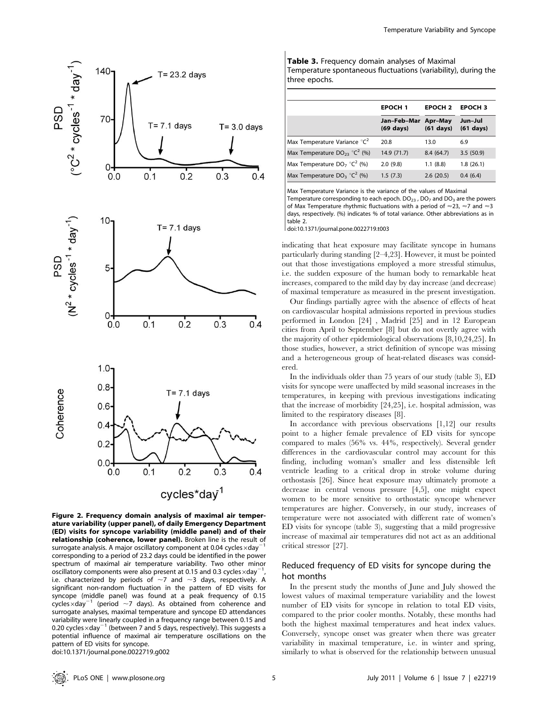

Figure 2. Frequency domain analysis of maximal air temperature variability (upper panel), of daily Emergency Department (ED) visits for syncope variability (middle panel) and of their relationship (coherence, lower panel). Broken line is the result of surrogate analysis. A major oscillatory component at 0.04 cycles $\times$ day<sup>-</sup> corresponding to a period of 23.2 days could be identified in the power spectrum of maximal air temperature variability. Two other minor oscillatory components were also present at 0.15 and 0.3 cycles $\times$ day<sup>-</sup> , i.e. characterized by periods of  $\sim$ 7 and  $\sim$ 3 days, respectively. A significant non-random fluctuation in the pattern of ED visits for syncope (middle panel) was found at a peak frequency of 0.15 cycles $\times$ day<sup>-1</sup> (period  $\sim$ 7 days). As obtained from coherence and (period  $\sim$ 7 days). As obtained from coherence and surrogate analyses, maximal temperature and syncope ED attendances variability were linearly coupled in a frequency range between 0.15 and 0.20 cycles $\times$ day<sup>-1</sup> (between 7 and 5 days, respectively). This suggests a potential influence of maximal air temperature oscillations on the pattern of ED visits for syncope.

doi:10.1371/journal.pone.0022719.g002

| <b>Table 3.</b> Frequency domain analyses of Maximal           |
|----------------------------------------------------------------|
| Temperature spontaneous fluctuations (variability), during the |
| three epochs.                                                  |

|                                                     | <b>EPOCH 1</b>                     | <b>EPOCH 2</b>         | <b>EPOCH 3</b>                 |  |
|-----------------------------------------------------|------------------------------------|------------------------|--------------------------------|--|
|                                                     | Jan-Feb-Mar<br>$(69 \text{ days})$ | Apr-May<br>$(61$ days) | Jun-Jul<br>$(61 \text{ days})$ |  |
| Max Temperature Variance °C <sup>2</sup>            | 20.8                               | 13.0                   | 6.9                            |  |
| Max Temperature $DO_{23}$ °C <sup>2</sup> (%)       | 14.9 (71.7)                        | 8.4 (64.7)             | 3.5(50.9)                      |  |
| Max Temperature DO <sub>7</sub> °C <sup>2</sup> (%) | 2.0(9.8)                           | 1.1(8.8)               | 1.8(26.1)                      |  |
| Max Temperature DO <sub>3</sub> °C <sup>2</sup> (%) | 1.5(7.3)                           | 2.6(20.5)              | 0.4(6.4)                       |  |

Max Temperature Variance is the variance of the values of Maximal

Temperature corresponding to each epoch.  $DO_{23}$ ,  $DO_{7}$  and  $DO_{3}$  are the powers of Max Temperature rhythmic fluctuations with a period of  $\approx$ 23,  $\approx$ 7 and  $\approx$ 3 days, respectively. (%) indicates % of total variance. Other abbreviations as in table 2.

doi:10.1371/journal.pone.0022719.t003

indicating that heat exposure may facilitate syncope in humans particularly during standing [2–4,23]. However, it must be pointed out that those investigations employed a more stressful stimulus, i.e. the sudden exposure of the human body to remarkable heat increases, compared to the mild day by day increase (and decrease) of maximal temperature as measured in the present investigation.

Our findings partially agree with the absence of effects of heat on cardiovascular hospital admissions reported in previous studies performed in London [24] , Madrid [25] and in 12 European cities from April to September [8] but do not overtly agree with the majority of other epidemiological observations [8,10,24,25]. In those studies, however, a strict definition of syncope was missing and a heterogeneous group of heat-related diseases was considered.

In the individuals older than 75 years of our study (table 3), ED visits for syncope were unaffected by mild seasonal increases in the temperatures, in keeping with previous investigations indicating that the increase of morbidity [24,25], i.e. hospital admission, was limited to the respiratory diseases [8].

In accordance with previous observations [1,12] our results point to a higher female prevalence of ED visits for syncope compared to males (56% vs. 44%, respectively). Several gender differences in the cardiovascular control may account for this finding, including woman's smaller and less distensible left ventricle leading to a critical drop in stroke volume during orthostasis [26]. Since heat exposure may ultimately promote a decrease in central venous pressure [4,5], one might expect women to be more sensitive to orthostatic syncope whenever temperatures are higher. Conversely, in our study, increases of temperature were not associated with different rate of women's ED visits for syncope (table 3), suggesting that a mild progressive increase of maximal air temperatures did not act as an additional critical stressor [27].

# Reduced frequency of ED visits for syncope during the hot months

In the present study the months of June and July showed the lowest values of maximal temperature variability and the lowest number of ED visits for syncope in relation to total ED visits, compared to the prior cooler months. Notably, these months had both the highest maximal temperatures and heat index values. Conversely, syncope onset was greater when there was greater variability in maximal temperature, i.e. in winter and spring, similarly to what is observed for the relationship between unusual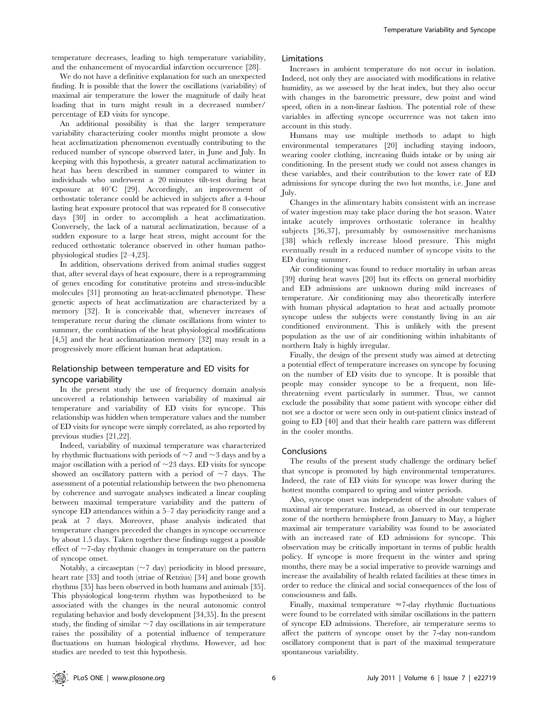temperature decreases, leading to high temperature variability, and the enhancement of myocardial infarction occurrence [28].

We do not have a definitive explanation for such an unexpected finding. It is possible that the lower the oscillations (variability) of maximal air temperature the lower the magnitude of daily heat loading that in turn might result in a decreased number/ percentage of ED visits for syncope.

An additional possibility is that the larger temperature variability characterizing cooler months might promote a slow heat acclimatization phenomenon eventually contributing to the reduced number of syncope observed later, in June and July. In keeping with this hypothesis, a greater natural acclimatization to heat has been described in summer compared to winter in individuals who underwent a 20 minutes tilt-test during heat exposure at  $40^{\circ}$ C [29]. Accordingly, an improvement of orthostatic tolerance could be achieved in subjects after a 4-hour lasting heat exposure protocol that was repeated for 8 consecutive days [30] in order to accomplish a heat acclimatization. Conversely, the lack of a natural acclimatization, because of a sudden exposure to a large heat stress, might account for the reduced orthostatic tolerance observed in other human pathophysiological studies [2–4,23].

In addition, observations derived from animal studies suggest that, after several days of heat exposure, there is a reprogramming of genes encoding for constitutive proteins and stress-inducible molecules [31] promoting an heat-acclimated phenotype. These genetic aspects of heat acclimatization are characterized by a memory [32]. It is conceivable that, whenever increases of temperature recur during the climate oscillations from winter to summer, the combination of the heat physiological modifications [4,5] and the heat acclimatization memory [32] may result in a progressively more efficient human heat adaptation.

# Relationship between temperature and ED visits for syncope variability

In the present study the use of frequency domain analysis uncovered a relationship between variability of maximal air temperature and variability of ED visits for syncope. This relationship was hidden when temperature values and the number of ED visits for syncope were simply correlated, as also reported by previous studies [21,22].

Indeed, variability of maximal temperature was characterized by rhythmic fluctuations with periods of  $\sim$ 7 and  $\sim$ 3 days and by a major oscillation with a period of  $\sim$ 23 days. ED visits for syncope showed an oscillatory pattern with a period of  $\sim$ 7 days. The assessment of a potential relationship between the two phenomena by coherence and surrogate analyses indicated a linear coupling between maximal temperature variability and the pattern of syncope ED attendances within a 5–7 day periodicity range and a peak at 7 days. Moreover, phase analysis indicated that temperature changes preceded the changes in syncope occurrence by about 1.5 days. Taken together these findings suggest a possible effect of  $\sim$ 7-day rhythmic changes in temperature on the pattern of syncope onset.

Notably, a circaseptan  $(\sim 7 \text{ day})$  periodicity in blood pressure, heart rate [33] and tooth (striae of Retzius) [34] and bone growth rhythms [35] has been observed in both humans and animals [35]. This physiological long-term rhythm was hypothesized to be associated with the changes in the neural autonomic control regulating behavior and body development [34,35]. In the present study, the finding of similar  $\sim$  7 day oscillations in air temperature raises the possibility of a potential influence of temperature fluctuations on human biological rhythms. However, ad hoc studies are needed to test this hypothesis.

# Limitations

Increases in ambient temperature do not occur in isolation. Indeed, not only they are associated with modifications in relative humidity, as we assessed by the heat index, but they also occur with changes in the barometric pressure, dew point and wind speed, often in a non-linear fashion. The potential role of these variables in affecting syncope occurrence was not taken into account in this study.

Humans may use multiple methods to adapt to high environmental temperatures [20] including staying indoors, wearing cooler clothing, increasing fluids intake or by using air conditioning. In the present study we could not assess changes in these variables, and their contribution to the lower rate of ED admissions for syncope during the two hot months, i.e. June and July.

Changes in the alimentary habits consistent with an increase of water ingestion may take place during the hot season. Water intake acutely improves orthostatic tolerance in healthy subjects [36,37], presumably by osmosensitive mechanisms [38] which reflexly increase blood pressure. This might eventually result in a reduced number of syncope visits to the ED during summer.

Air conditioning was found to reduce mortality in urban areas [39] during heat waves [20] but its effects on general morbidity and ED admissions are unknown during mild increases of temperature. Air conditioning may also theoretically interfere with human physical adaptation to heat and actually promote syncope unless the subjects were constantly living in an air conditioned environment. This is unlikely with the present population as the use of air conditioning within inhabitants of northern Italy is highly irregular.

Finally, the design of the present study was aimed at detecting a potential effect of temperature increases on syncope by focusing on the number of ED visits due to syncope. It is possible that people may consider syncope to be a frequent, non lifethreatening event particularly in summer. Thus, we cannot exclude the possibility that some patient with syncope either did not see a doctor or were seen only in out-patient clinics instead of going to ED [40] and that their health care pattern was different in the cooler months.

## Conclusions

The results of the present study challenge the ordinary belief that syncope is promoted by high environmental temperatures. Indeed, the rate of ED visits for syncope was lower during the hottest months compared to spring and winter periods.

Also, syncope onset was independent of the absolute values of maximal air temperature. Instead, as observed in our temperate zone of the northern hemisphere from January to May, a higher maximal air temperature variability was found to be associated with an increased rate of ED admissions for syncope. This observation may be critically important in terms of public health policy. If syncope is more frequent in the winter and spring months, there may be a social imperative to provide warnings and increase the availability of health related facilities at these times in order to reduce the clinical and social consequences of the loss of consciousness and falls.

Finally, maximal temperature  $\approx$  7-day rhythmic fluctuations were found to be correlated with similar oscillations in the pattern of syncope ED admissions. Therefore, air temperature seems to affect the pattern of syncope onset by the 7-day non-random oscillatory component that is part of the maximal temperature spontaneous variability.